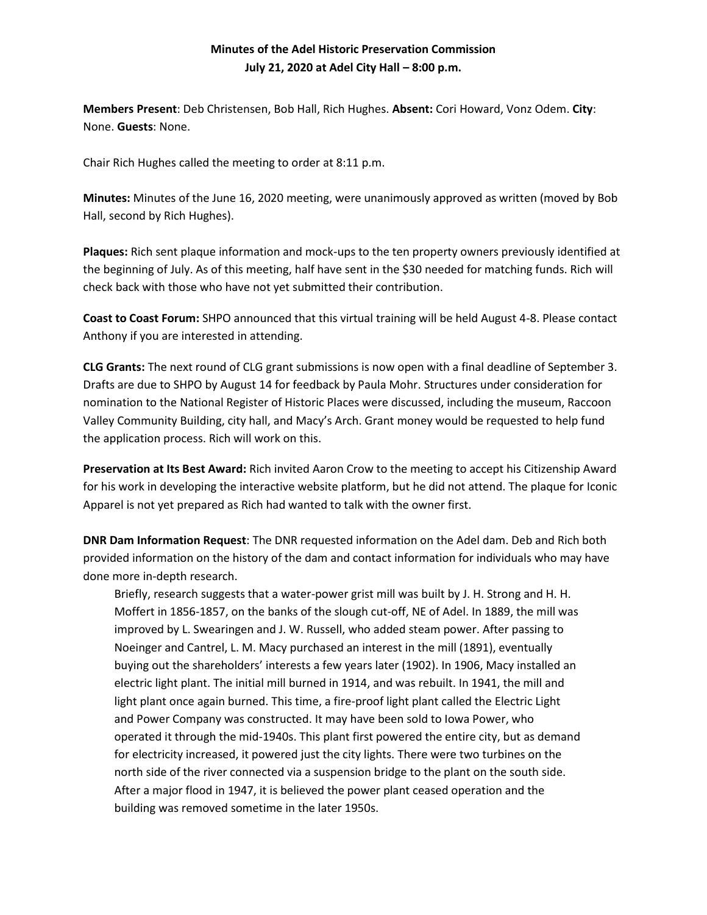## **Minutes of the Adel Historic Preservation Commission July 21, 2020 at Adel City Hall – 8:00 p.m.**

**Members Present**: Deb Christensen, Bob Hall, Rich Hughes. **Absent:** Cori Howard, Vonz Odem. **City**: None. **Guests**: None.

Chair Rich Hughes called the meeting to order at 8:11 p.m.

**Minutes:** Minutes of the June 16, 2020 meeting, were unanimously approved as written (moved by Bob Hall, second by Rich Hughes).

**Plaques:** Rich sent plaque information and mock-ups to the ten property owners previously identified at the beginning of July. As of this meeting, half have sent in the \$30 needed for matching funds. Rich will check back with those who have not yet submitted their contribution.

**Coast to Coast Forum:** SHPO announced that this virtual training will be held August 4-8. Please contact Anthony if you are interested in attending.

**CLG Grants:** The next round of CLG grant submissions is now open with a final deadline of September 3. Drafts are due to SHPO by August 14 for feedback by Paula Mohr. Structures under consideration for nomination to the National Register of Historic Places were discussed, including the museum, Raccoon Valley Community Building, city hall, and Macy's Arch. Grant money would be requested to help fund the application process. Rich will work on this.

**Preservation at Its Best Award:** Rich invited Aaron Crow to the meeting to accept his Citizenship Award for his work in developing the interactive website platform, but he did not attend. The plaque for Iconic Apparel is not yet prepared as Rich had wanted to talk with the owner first.

**DNR Dam Information Request**: The DNR requested information on the Adel dam. Deb and Rich both provided information on the history of the dam and contact information for individuals who may have done more in-depth research.

Briefly, research suggests that a water-power grist mill was built by J. H. Strong and H. H. Moffert in 1856-1857, on the banks of the slough cut-off, NE of Adel. In 1889, the mill was improved by L. Swearingen and J. W. Russell, who added steam power. After passing to Noeinger and Cantrel, L. M. Macy purchased an interest in the mill (1891), eventually buying out the shareholders' interests a few years later (1902). In 1906, Macy installed an electric light plant. The initial mill burned in 1914, and was rebuilt. In 1941, the mill and light plant once again burned. This time, a fire-proof light plant called the Electric Light and Power Company was constructed. It may have been sold to Iowa Power, who operated it through the mid-1940s. This plant first powered the entire city, but as demand for electricity increased, it powered just the city lights. There were two turbines on the north side of the river connected via a suspension bridge to the plant on the south side. After a major flood in 1947, it is believed the power plant ceased operation and the building was removed sometime in the later 1950s.